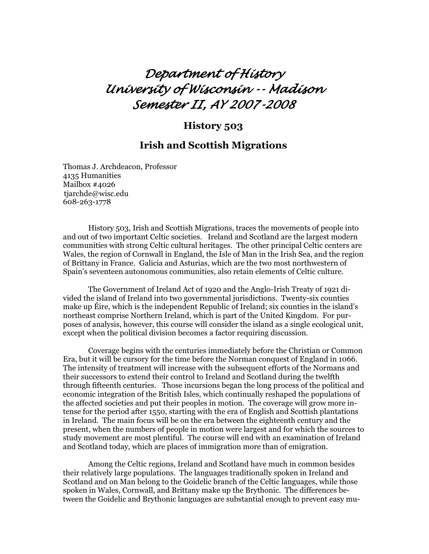# *Department of History University of Wisconsin -- Madison Semester II, AY 2007-2008*

## **History 503**

# **Irish and Scottish Migrations**

Thomas J. Archdeacon, Professor 4135 Humanities Mailbox #4026 tiarchde@wisc.edu 608-263-1778

 History 503, Irish and Scottish Migrations, traces the movements of people into and out of two important Celtic societies. Ireland and Scotland are the largest modern communities with strong Celtic cultural heritages. The other principal Celtic centers are Wales, the region of Cornwall in England, the Isle of Man in the Irish Sea, and the region of Brittany in France. Galicia and Asturias, which are the two most northwestern of Spain's seventeen autonomous communities, also retain elements of Celtic culture.

 The Government of Ireland Act of 1920 and the Anglo-Irish Treaty of 1921 divided the island of Ireland into two governmental jurisdictions. Twenty-six counties make up Éire, which is the independent Republic of Ireland; six counties in the island's northeast comprise Northern Ireland, which is part of the United Kingdom. For purposes of analysis, however, this course will consider the island as a single ecological unit, except when the political division becomes a factor requiring discussion.

 Coverage begins with the centuries immediately before the Christian or Common Era, but it will be cursory for the time before the Norman conquest of England in 1066. The intensity of treatment will increase with the subsequent efforts of the Normans and their successors to extend their control to Ireland and Scotland during the twelfth through fifteenth centuries. Those incursions began the long process of the political and economic integration of the British Isles, which continually reshaped the populations of the affected societies and put their peoples in motion. The coverage will grow more intense for the period after 1550, starting with the era of English and Scottish plantations in Ireland. The main focus will be on the era between the eighteenth century and the present, when the numbers of people in motion were largest and for which the sources to study movement are most plentiful. The course will end with an examination of Ireland and Scotland today, which are places of immigration more than of emigration.

 Among the Celtic regions, Ireland and Scotland have much in common besides their relatively large populations. The languages traditionally spoken in Ireland and Scotland and on Man belong to the Goidelic branch of the Celtic languages, while those spoken in Wales, Cornwall, and Brittany make up the Brythonic. The differences between the Goidelic and Brythonic languages are substantial enough to prevent easy mu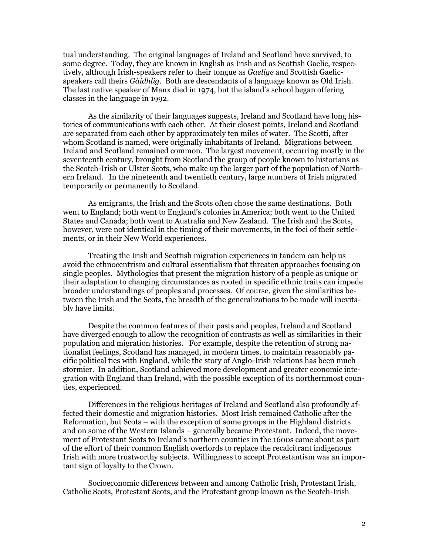tual understanding. The original languages of Ireland and Scotland have survived, to some degree. Today, they are known in English as Irish and as Scottish Gaelic, respectively, although Irish-speakers refer to their tongue as *Gaelige* and Scottish Gaelicspeakers call theirs *Gàidhlig*. Both are descendants of a language known as Old Irish. The last native speaker of Manx died in 1974, but the island's school began offering classes in the language in 1992.

 As the similarity of their languages suggests, Ireland and Scotland have long histories of communications with each other. At their closest points, Ireland and Scotland are separated from each other by approximately ten miles of water. The Scotti, after whom Scotland is named, were originally inhabitants of Ireland. Migrations between Ireland and Scotland remained common. The largest movement, occurring mostly in the seventeenth century, brought from Scotland the group of people known to historians as the Scotch-Irish or Ulster Scots, who make up the larger part of the population of Northern Ireland. In the nineteenth and twentieth century, large numbers of Irish migrated temporarily or permanently to Scotland.

 As emigrants, the Irish and the Scots often chose the same destinations. Both went to England; both went to England's colonies in America; both went to the United States and Canada; both went to Australia and New Zealand. The Irish and the Scots, however, were not identical in the timing of their movements, in the foci of their settlements, or in their New World experiences.

 Treating the Irish and Scottish migration experiences in tandem can help us avoid the ethnocentrism and cultural essentialism that threaten approaches focusing on single peoples. Mythologies that present the migration history of a people as unique or their adaptation to changing circumstances as rooted in specific ethnic traits can impede broader understandings of peoples and processes. Of course, given the similarities between the Irish and the Scots, the breadth of the generalizations to be made will inevitably have limits.

 Despite the common features of their pasts and peoples, Ireland and Scotland have diverged enough to allow the recognition of contrasts as well as similarities in their population and migration histories. For example, despite the retention of strong nationalist feelings, Scotland has managed, in modern times, to maintain reasonably pacific political ties with England, while the story of Anglo-Irish relations has been much stormier. In addition, Scotland achieved more development and greater economic integration with England than Ireland, with the possible exception of its northernmost counties, experienced.

 Differences in the religious heritages of Ireland and Scotland also profoundly affected their domestic and migration histories. Most Irish remained Catholic after the Reformation, but Scots – with the exception of some groups in the Highland districts and on some of the Western Islands – generally became Protestant. Indeed, the movement of Protestant Scots to Ireland's northern counties in the 1600s came about as part of the effort of their common English overlords to replace the recalcitrant indigenous Irish with more trustworthy subjects. Willingness to accept Protestantism was an important sign of loyalty to the Crown.

 Socioeconomic differences between and among Catholic Irish, Protestant Irish, Catholic Scots, Protestant Scots, and the Protestant group known as the Scotch-Irish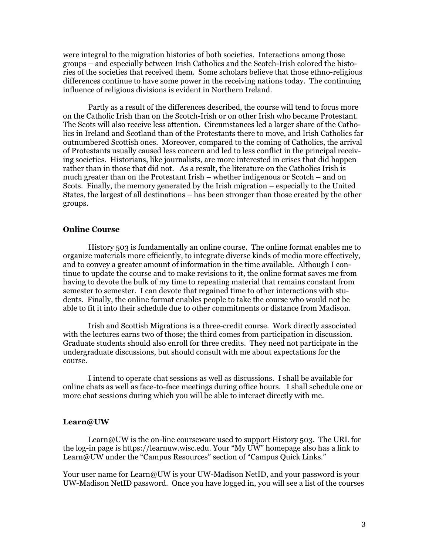were integral to the migration histories of both societies. Interactions among those groups – and especially between Irish Catholics and the Scotch-Irish colored the histories of the societies that received them. Some scholars believe that those ethno-religious differences continue to have some power in the receiving nations today. The continuing influence of religious divisions is evident in Northern Ireland.

 Partly as a result of the differences described, the course will tend to focus more on the Catholic Irish than on the Scotch-Irish or on other Irish who became Protestant. The Scots will also receive less attention. Circumstances led a larger share of the Catholics in Ireland and Scotland than of the Protestants there to move, and Irish Catholics far outnumbered Scottish ones. Moreover, compared to the coming of Catholics, the arrival of Protestants usually caused less concern and led to less conflict in the principal receiving societies. Historians, like journalists, are more interested in crises that did happen rather than in those that did not. As a result, the literature on the Catholics Irish is much greater than on the Protestant Irish – whether indigenous or Scotch – and on Scots. Finally, the memory generated by the Irish migration – especially to the United States, the largest of all destinations – has been stronger than those created by the other groups.

#### **Online Course**

 History 503 is fundamentally an online course. The online format enables me to organize materials more efficiently, to integrate diverse kinds of media more effectively, and to convey a greater amount of information in the time available. Although I continue to update the course and to make revisions to it, the online format saves me from having to devote the bulk of my time to repeating material that remains constant from semester to semester. I can devote that regained time to other interactions with students. Finally, the online format enables people to take the course who would not be able to fit it into their schedule due to other commitments or distance from Madison.

 Irish and Scottish Migrations is a three-credit course. Work directly associated with the lectures earns two of those; the third comes from participation in discussion. Graduate students should also enroll for three credits. They need not participate in the undergraduate discussions, but should consult with me about expectations for the course.

 I intend to operate chat sessions as well as discussions. I shall be available for online chats as well as face-to-face meetings during office hours. I shall schedule one or more chat sessions during which you will be able to interact directly with me.

#### **Learn@UW**

 Learn@UW is the on-line courseware used to support History 503. The URL for the log-in page is https://learnuw.wisc.edu. Your "My UW" homepage also has a link to Learn@UW under the "Campus Resources" section of "Campus Quick Links."

Your user name for Learn@UW is your UW-Madison NetID, and your password is your UW-Madison NetID password. Once you have logged in, you will see a list of the courses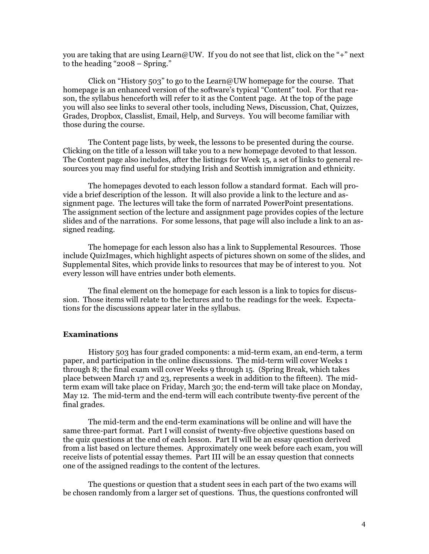you are taking that are using Learn@UW. If you do not see that list, click on the "+" next to the heading "2008 – Spring."

 Click on "History 503" to go to the Learn@UW homepage for the course. That homepage is an enhanced version of the software's typical "Content" tool. For that reason, the syllabus henceforth will refer to it as the Content page. At the top of the page you will also see links to several other tools, including News, Discussion, Chat, Quizzes, Grades, Dropbox, Classlist, Email, Help, and Surveys. You will become familiar with those during the course.

 The Content page lists, by week, the lessons to be presented during the course. Clicking on the title of a lesson will take you to a new homepage devoted to that lesson. The Content page also includes, after the listings for Week 15, a set of links to general resources you may find useful for studying Irish and Scottish immigration and ethnicity.

 The homepages devoted to each lesson follow a standard format. Each will provide a brief description of the lesson. It will also provide a link to the lecture and assignment page. The lectures will take the form of narrated PowerPoint presentations. The assignment section of the lecture and assignment page provides copies of the lecture slides and of the narrations. For some lessons, that page will also include a link to an assigned reading.

 The homepage for each lesson also has a link to Supplemental Resources. Those include QuizImages, which highlight aspects of pictures shown on some of the slides, and Supplemental Sites, which provide links to resources that may be of interest to you. Not every lesson will have entries under both elements.

 The final element on the homepage for each lesson is a link to topics for discussion. Those items will relate to the lectures and to the readings for the week. Expectations for the discussions appear later in the syllabus.

## **Examinations**

History 503 has four graded components: a mid-term exam, an end-term, a term paper, and participation in the online discussions. The mid-term will cover Weeks 1 through 8; the final exam will cover Weeks 9 through 15. (Spring Break, which takes place between March 17 and 23, represents a week in addition to the fifteen). The midterm exam will take place on Friday, March 30; the end-term will take place on Monday, May 12. The mid-term and the end-term will each contribute twenty-five percent of the final grades.

The mid-term and the end-term examinations will be online and will have the same three-part format. Part I will consist of twenty-five objective questions based on the quiz questions at the end of each lesson. Part II will be an essay question derived from a list based on lecture themes. Approximately one week before each exam, you will receive lists of potential essay themes. Part III will be an essay question that connects one of the assigned readings to the content of the lectures.

The questions or question that a student sees in each part of the two exams will be chosen randomly from a larger set of questions. Thus, the questions confronted will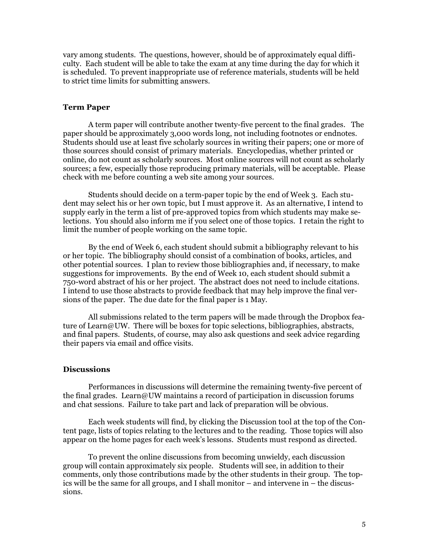vary among students. The questions, however, should be of approximately equal difficulty. Each student will be able to take the exam at any time during the day for which it is scheduled. To prevent inappropriate use of reference materials, students will be held to strict time limits for submitting answers.

#### **Term Paper**

A term paper will contribute another twenty-five percent to the final grades. The paper should be approximately 3,000 words long, not including footnotes or endnotes. Students should use at least five scholarly sources in writing their papers; one or more of those sources should consist of primary materials. Encyclopedias, whether printed or online, do not count as scholarly sources. Most online sources will not count as scholarly sources; a few, especially those reproducing primary materials, will be acceptable. Please check with me before counting a web site among your sources.

 Students should decide on a term-paper topic by the end of Week 3. Each student may select his or her own topic, but I must approve it. As an alternative, I intend to supply early in the term a list of pre-approved topics from which students may make selections. You should also inform me if you select one of those topics. I retain the right to limit the number of people working on the same topic.

 By the end of Week 6, each student should submit a bibliography relevant to his or her topic. The bibliography should consist of a combination of books, articles, and other potential sources. I plan to review those bibliographies and, if necessary, to make suggestions for improvements. By the end of Week 10, each student should submit a 750-word abstract of his or her project. The abstract does not need to include citations. I intend to use those abstracts to provide feedback that may help improve the final versions of the paper. The due date for the final paper is 1 May.

 All submissions related to the term papers will be made through the Dropbox feature of Learn@UW. There will be boxes for topic selections, bibliographies, abstracts, and final papers. Students, of course, may also ask questions and seek advice regarding their papers via email and office visits.

#### **Discussions**

 Performances in discussions will determine the remaining twenty-five percent of the final grades. Learn@UW maintains a record of participation in discussion forums and chat sessions. Failure to take part and lack of preparation will be obvious.

 Each week students will find, by clicking the Discussion tool at the top of the Content page, lists of topics relating to the lectures and to the reading. Those topics will also appear on the home pages for each week's lessons. Students must respond as directed.

To prevent the online discussions from becoming unwieldy, each discussion group will contain approximately six people. Students will see, in addition to their comments, only those contributions made by the other students in their group. The topics will be the same for all groups, and I shall monitor – and intervene in – the discussions.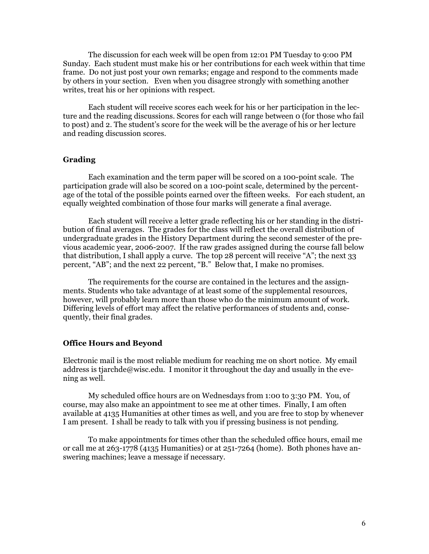The discussion for each week will be open from 12:01 PM Tuesday to 9:00 PM Sunday. Each student must make his or her contributions for each week within that time frame. Do not just post your own remarks; engage and respond to the comments made by others in your section. Even when you disagree strongly with something another writes, treat his or her opinions with respect.

 Each student will receive scores each week for his or her participation in the lecture and the reading discussions. Scores for each will range between 0 (for those who fail to post) and 2. The student's score for the week will be the average of his or her lecture and reading discussion scores.

## **Grading**

 Each examination and the term paper will be scored on a 100-point scale. The participation grade will also be scored on a 100-point scale, determined by the percentage of the total of the possible points earned over the fifteen weeks. For each student, an equally weighted combination of those four marks will generate a final average.

 Each student will receive a letter grade reflecting his or her standing in the distribution of final averages. The grades for the class will reflect the overall distribution of undergraduate grades in the History Department during the second semester of the previous academic year, 2006-2007. If the raw grades assigned during the course fall below that distribution, I shall apply a curve. The top 28 percent will receive "A"; the next 33 percent, "AB"; and the next 22 percent, "B." Below that, I make no promises.

 The requirements for the course are contained in the lectures and the assignments. Students who take advantage of at least some of the supplemental resources, however, will probably learn more than those who do the minimum amount of work. Differing levels of effort may affect the relative performances of students and, consequently, their final grades.

#### **Office Hours and Beyond**

Electronic mail is the most reliable medium for reaching me on short notice. My email address is tjarchde@wisc.edu. I monitor it throughout the day and usually in the evening as well.

 My scheduled office hours are on Wednesdays from 1:00 to 3:30 PM. You, of course, may also make an appointment to see me at other times. Finally, I am often available at 4135 Humanities at other times as well, and you are free to stop by whenever I am present. I shall be ready to talk with you if pressing business is not pending.

 To make appointments for times other than the scheduled office hours, email me or call me at  $263$ -1778 (4135 Humanities) or at  $251$ -7264 (home). Both phones have answering machines; leave a message if necessary.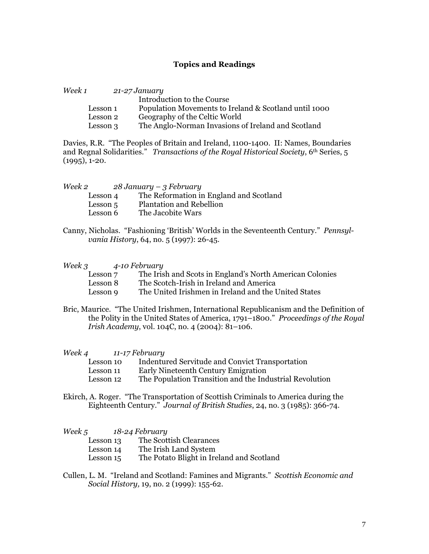## **Topics and Readings**

| Week 1 |                      | 21-27 January                                         |
|--------|----------------------|-------------------------------------------------------|
|        |                      | Introduction to the Course                            |
|        | Lesson 1             | Population Movements to Ireland & Scotland until 1000 |
|        | Lesson 2             | Geography of the Celtic World                         |
|        | Lesson $\mathfrak A$ | The Anglo-Norman Invasions of Ireland and Scotland    |

Davies, R.R. "The Peoples of Britain and Ireland, 1100-1400. II: Names, Boundaries and Regnal Solidarities." *Transactions of the Royal Historical Society*, 6<sup>th</sup> Series, 5 (1995), 1-20.

| Week 2   | $28$ January – 3 February               |
|----------|-----------------------------------------|
| Lesson 4 | The Reformation in England and Scotland |
| Lesson 5 | <b>Plantation and Rebellion</b>         |
| Lesson 6 | The Jacobite Wars                       |

Canny, Nicholas. "Fashioning 'British' Worlds in the Seventeenth Century." *Pennsylvania History*, 64, no. 5 (1997): 26-45.

*Week 3 4-10 February* 

| Lesson 7 | The Irish and Scots in England's North American Colonies |
|----------|----------------------------------------------------------|
| Lesson 8 | The Scotch-Irish in Ireland and America                  |
| Lesson 9 | The United Irishmen in Ireland and the United States     |

Bric, Maurice. "The United Irishmen, International Republicanism and the Definition of the Polity in the United States of America, 1791–1800." *Proceedings of the Royal Irish Academy*, vol. 104C, no. 4 (2004): 81–106.

*Week 4 11-17 February* 

| Lesson 10 | Indentured Servitude and Convict Transportation |  |
|-----------|-------------------------------------------------|--|
| Lesson 11 | Early Nineteenth Century Emigration             |  |

- Lesson 12 The Population Transition and the Industrial Revolution
- Ekirch, A. Roger. "The Transportation of Scottish Criminals to America during the Eighteenth Century." *Journal of British Studies*, 24, no. 3 (1985): 366-74.

*Week 5 18-24 February* 

| Lesson 13 | The Scottish Clearances                   |
|-----------|-------------------------------------------|
| Lesson 14 | The Irish Land System                     |
| Lesson 15 | The Potato Blight in Ireland and Scotland |

Cullen, L. M. "Ireland and Scotland: Famines and Migrants." *Scottish Economic and Social History,* 19, no. 2 (1999): 155-62.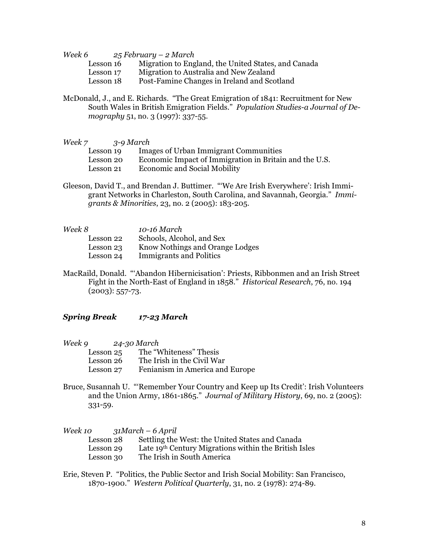*Week 6 25 February – 2 March* 

- Lesson 16 Migration to England, the United States, and Canada
- Lesson 17 Migration to Australia and New Zealand<br>Lesson 18 Post-Famine Changes in Ireland and Sco
- Post-Famine Changes in Ireland and Scotland
- McDonald, J., and E. Richards. "The Great Emigration of 1841: Recruitment for New South Wales in British Emigration Fields." *Population Studies-a Journal of Demography* 51, no. 3 (1997): 337-55.

*Week 7 3-9 March* 

- Lesson 19 Images of Urban Immigrant Communities
- Lesson 20 Economic Impact of Immigration in Britain and the U.S.
- Lesson 21 Economic and Social Mobility
- Gleeson, David T., and Brendan J. Buttimer. "'We Are Irish Everywhere': Irish Immigrant Networks in Charleston, South Carolina, and Savannah, Georgia." *Immigrants & Minorities*, 23, no. 2 (2005): 183-205.

| Week 8    | 10-16 March                     |
|-----------|---------------------------------|
| Lesson 22 | Schools, Alcohol, and Sex       |
| Lesson 23 | Know Nothings and Orange Lodges |
| Lesson 24 | <b>Immigrants and Politics</b>  |
|           |                                 |

MacRaild, Donald. "'Abandon Hibernicisation': Priests, Ribbonmen and an Irish Street Fight in the North-East of England in 1858." *Historical Research*, 76, no. 194  $(2003): 557-73.$ 

# *Spring Break 17-23 March*

| Week 9 |           | 24-30 March                     |
|--------|-----------|---------------------------------|
|        | Lesson 25 | The "Whiteness" Thesis          |
|        | Lesson 26 | The Irish in the Civil War      |
|        | Lesson 27 | Fenianism in America and Europe |

Bruce, Susannah U. "'Remember Your Country and Keep up Its Credit': Irish Volunteers and the Union Army, 1861-1865." *Journal of Military History*, 69, no. 2 (2005): 331-59.

*Week 10 31March – 6 April*  Lesson 28 Settling the West: the United States and Canada Lesson 29 Late 19th Century Migrations within the British Isles Lesson 30 The Irish in South America

Erie, Steven P. "Politics, the Public Sector and Irish Social Mobility: San Francisco, 1870-1900." *Western Political Quarterly*, 31, no. 2 (1978): 274-89.